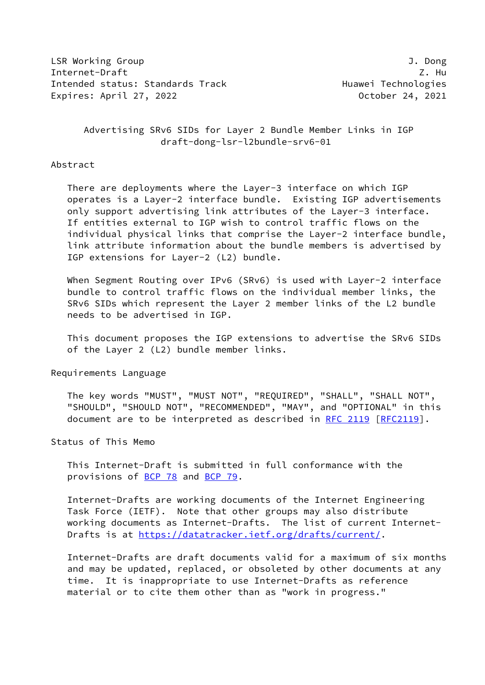LSR Working Group J. Dong Internet-Draft Z. Hu Intended status: Standards Track Track Huawei Technologies Expires: April 27, 2022 **Canadian Control** Corober 24, 2021

# Advertising SRv6 SIDs for Layer 2 Bundle Member Links in IGP draft-dong-lsr-l2bundle-srv6-01

#### Abstract

 There are deployments where the Layer-3 interface on which IGP operates is a Layer-2 interface bundle. Existing IGP advertisements only support advertising link attributes of the Layer-3 interface. If entities external to IGP wish to control traffic flows on the individual physical links that comprise the Layer-2 interface bundle, link attribute information about the bundle members is advertised by IGP extensions for Layer-2 (L2) bundle.

When Segment Routing over IPv6 (SRv6) is used with Layer-2 interface bundle to control traffic flows on the individual member links, the SRv6 SIDs which represent the Layer 2 member links of the L2 bundle needs to be advertised in IGP.

 This document proposes the IGP extensions to advertise the SRv6 SIDs of the Layer 2 (L2) bundle member links.

Requirements Language

 The key words "MUST", "MUST NOT", "REQUIRED", "SHALL", "SHALL NOT", "SHOULD", "SHOULD NOT", "RECOMMENDED", "MAY", and "OPTIONAL" in this document are to be interpreted as described in [RFC 2119 \[RFC2119](https://datatracker.ietf.org/doc/pdf/rfc2119)].

Status of This Memo

 This Internet-Draft is submitted in full conformance with the provisions of [BCP 78](https://datatracker.ietf.org/doc/pdf/bcp78) and [BCP 79](https://datatracker.ietf.org/doc/pdf/bcp79).

 Internet-Drafts are working documents of the Internet Engineering Task Force (IETF). Note that other groups may also distribute working documents as Internet-Drafts. The list of current Internet- Drafts is at<https://datatracker.ietf.org/drafts/current/>.

 Internet-Drafts are draft documents valid for a maximum of six months and may be updated, replaced, or obsoleted by other documents at any time. It is inappropriate to use Internet-Drafts as reference material or to cite them other than as "work in progress."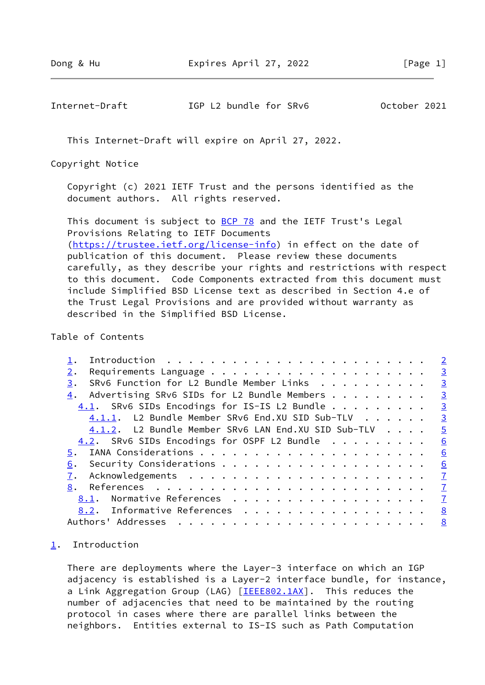<span id="page-1-1"></span>Internet-Draft IGP L2 bundle for SRv6 October 2021

This Internet-Draft will expire on April 27, 2022.

Copyright Notice

 Copyright (c) 2021 IETF Trust and the persons identified as the document authors. All rights reserved.

This document is subject to **[BCP 78](https://datatracker.ietf.org/doc/pdf/bcp78)** and the IETF Trust's Legal Provisions Relating to IETF Documents [\(https://trustee.ietf.org/license-info](https://trustee.ietf.org/license-info)) in effect on the date of publication of this document. Please review these documents carefully, as they describe your rights and restrictions with respect to this document. Code Components extracted from this document must include Simplified BSD License text as described in Section 4.e of the Trust Legal Provisions and are provided without warranty as described in the Simplified BSD License.

Table of Contents

|                                                     | $\overline{2}$          |
|-----------------------------------------------------|-------------------------|
|                                                     | $\overline{3}$          |
| SRv6 Function for L2 Bundle Member Links<br>3.      | $\overline{3}$          |
| Advertising SRv6 SIDs for L2 Bundle Members<br>4.   | $\overline{\mathbf{3}}$ |
| 4.1. SRv6 SIDs Encodings for IS-IS L2 Bundle        | $\overline{3}$          |
| 4.1.1. L2 Bundle Member SRv6 End.XU SID Sub-TLV     | $\overline{\mathbf{3}}$ |
| 4.1.2. L2 Bundle Member SRv6 LAN End.XU SID Sub-TLV | $\overline{5}$          |
| 4.2. SRv6 SIDs Encodings for OSPF L2 Bundle         | 6                       |
| 5.                                                  | 6                       |
| 6.                                                  | 6                       |
|                                                     | $\mathbf{I}$            |
| 8.                                                  | $\overline{1}$          |
| Normative References<br>8.1.                        | $\mathbf I$             |
| 8.2. Informative References                         | 8                       |
| Authors' Addresses                                  | 8                       |
|                                                     |                         |

## <span id="page-1-0"></span>[1](#page-1-0). Introduction

 There are deployments where the Layer-3 interface on which an IGP adjacency is established is a Layer-2 interface bundle, for instance, a Link Aggregation Group (LAG) [\[IEEE802.1AX](#page-7-1)]. This reduces the number of adjacencies that need to be maintained by the routing protocol in cases where there are parallel links between the neighbors. Entities external to IS-IS such as Path Computation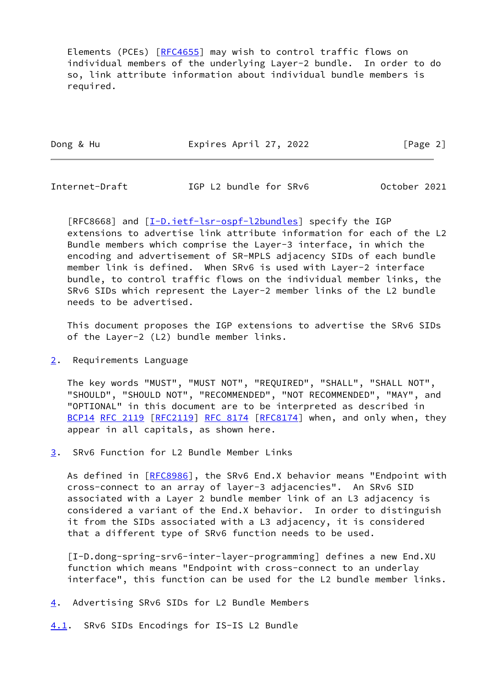Elements (PCEs) [\[RFC4655](https://datatracker.ietf.org/doc/pdf/rfc4655)] may wish to control traffic flows on individual members of the underlying Layer-2 bundle. In order to do so, link attribute information about individual bundle members is required.

Dong & Hu **Expires April 27, 2022** [Page 2]

<span id="page-2-1"></span>Internet-Draft IGP L2 bundle for SRv6 October 2021

[RFC8668] and [[I-D.ietf-lsr-ospf-l2bundles](#page-7-2)] specify the IGP extensions to advertise link attribute information for each of the L2 Bundle members which comprise the Layer-3 interface, in which the encoding and advertisement of SR-MPLS adjacency SIDs of each bundle member link is defined. When SRv6 is used with Layer-2 interface bundle, to control traffic flows on the individual member links, the SRv6 SIDs which represent the Layer-2 member links of the L2 bundle needs to be advertised.

 This document proposes the IGP extensions to advertise the SRv6 SIDs of the Layer-2 (L2) bundle member links.

<span id="page-2-0"></span>[2](#page-2-0). Requirements Language

 The key words "MUST", "MUST NOT", "REQUIRED", "SHALL", "SHALL NOT", "SHOULD", "SHOULD NOT", "RECOMMENDED", "NOT RECOMMENDED", "MAY", and "OPTIONAL" in this document are to be interpreted as described in [BCP14](https://datatracker.ietf.org/doc/pdf/bcp14) [RFC 2119](https://datatracker.ietf.org/doc/pdf/rfc2119) [\[RFC2119](https://datatracker.ietf.org/doc/pdf/rfc2119)] [RFC 8174](https://datatracker.ietf.org/doc/pdf/rfc8174) [[RFC8174](https://datatracker.ietf.org/doc/pdf/rfc8174)] when, and only when, they appear in all capitals, as shown here.

<span id="page-2-2"></span>[3](#page-2-2). SRv6 Function for L2 Bundle Member Links

As defined in [[RFC8986](https://datatracker.ietf.org/doc/pdf/rfc8986)], the SRv6 End.X behavior means "Endpoint with cross-connect to an array of layer-3 adjacencies". An SRv6 SID associated with a Layer 2 bundle member link of an L3 adjacency is considered a variant of the End.X behavior. In order to distinguish it from the SIDs associated with a L3 adjacency, it is considered that a different type of SRv6 function needs to be used.

<span id="page-2-5"></span> [I-D.dong-spring-srv6-inter-layer-programming] defines a new End.XU function which means "Endpoint with cross-connect to an underlay interface", this function can be used for the L2 bundle member links.

- <span id="page-2-3"></span>[4](#page-2-3). Advertising SRv6 SIDs for L2 Bundle Members
- <span id="page-2-4"></span>[4.1](#page-2-4). SRv6 SIDs Encodings for IS-IS L2 Bundle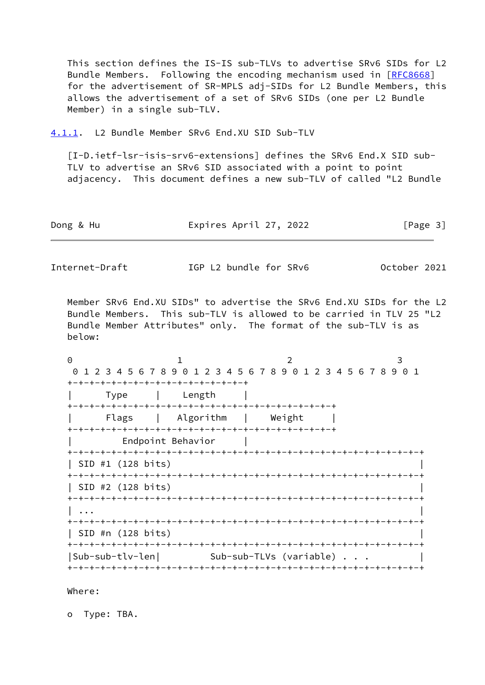This section defines the IS-IS sub-TLVs to advertise SRv6 SIDs for L2 Bundle Members. Following the encoding mechanism used in [[RFC8668](https://datatracker.ietf.org/doc/pdf/rfc8668)] for the advertisement of SR-MPLS adj-SIDs for L2 Bundle Members, this allows the advertisement of a set of SRv6 SIDs (one per L2 Bundle Member) in a single sub-TLV.

<span id="page-3-0"></span>[4.1.1](#page-3-0). L2 Bundle Member SRv6 End.XU SID Sub-TLV

<span id="page-3-1"></span> [I-D.ietf-lsr-isis-srv6-extensions] defines the SRv6 End.X SID sub- TLV to advertise an SRv6 SID associated with a point to point adjacency. This document defines a new sub-TLV of called "L2 Bundle

Dong & Hu **Expires April 27, 2022** [Page 3]

Internet-Draft IGP L2 bundle for SRv6 October 2021

 Member SRv6 End.XU SIDs" to advertise the SRv6 End.XU SIDs for the L2 Bundle Members. This sub-TLV is allowed to be carried in TLV 25 "L2 Bundle Member Attributes" only. The format of the sub-TLV is as below:

0 1 2 3 0 1 2 3 4 5 6 7 8 9 0 1 2 3 4 5 6 7 8 9 0 1 2 3 4 5 6 7 8 9 0 1 +-+-+-+-+-+-+-+-+-+-+-+-+-+-+-+-+ | Type | Length | +-+-+-+-+-+-+-+-+-+-+-+-+-+-+-+-+-+-+-+-+-+-+-+-+ | Flags | Algorithm | Weight | +-+-+-+-+-+-+-+-+-+-+-+-+-+-+-+-+-+-+-+-+-+-+-+-+ | Endpoint Behavior | +-+-+-+-+-+-+-+-+-+-+-+-+-+-+-+-+-+-+-+-+-+-+-+-+-+-+-+-+-+-+-+-+ | SID #1 (128 bits) | +-+-+-+-+-+-+-+-+-+-+-+-+-+-+-+-+-+-+-+-+-+-+-+-+-+-+-+-+-+-+-+-+ | SID #2 (128 bits) | +-+-+-+-+-+-+-+-+-+-+-+-+-+-+-+-+-+-+-+-+-+-+-+-+-+-+-+-+-+-+-+-+ | ... | ... | ... | ... | ... | ... | ... | ... | ... | ... | ... | ... | ... | ... | ... | ... | ... | ... | +-+-+-+-+-+-+-+-+-+-+-+-+-+-+-+-+-+-+-+-+-+-+-+-+-+-+-+-+-+-+-+-+ | SID #n (128 bits) | +-+-+-+-+-+-+-+-+-+-+-+-+-+-+-+-+-+-+-+-+-+-+-+-+-+-+-+-+-+-+-+-+ |Sub-sub-tlv-len| Sub-sub-TLVs (variable) . . . +-+-+-+-+-+-+-+-+-+-+-+-+-+-+-+-+-+-+-+-+-+-+-+-+-+-+-+-+-+-+-+-+

Where:

o Type: TBA.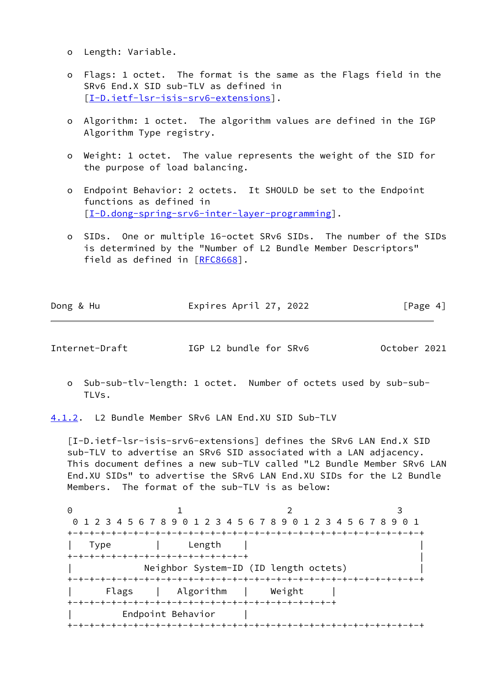- o Length: Variable.
- o Flags: 1 octet. The format is the same as the Flags field in the SRv6 End.X SID sub-TLV as defined in [[I-D.ietf-lsr-isis-srv6-extensions\]](#page-3-1).
- o Algorithm: 1 octet. The algorithm values are defined in the IGP Algorithm Type registry.
- o Weight: 1 octet. The value represents the weight of the SID for the purpose of load balancing.
- o Endpoint Behavior: 2 octets. It SHOULD be set to the Endpoint functions as defined in [[I-D.dong-spring-srv6-inter-layer-programming\]](#page-2-5).
- o SIDs. One or multiple 16-octet SRv6 SIDs. The number of the SIDs is determined by the "Number of L2 Bundle Member Descriptors" field as defined in [\[RFC8668](https://datatracker.ietf.org/doc/pdf/rfc8668)].

| Dong & Hu | Expires April 27, 2022 | [Page 4] |
|-----------|------------------------|----------|

<span id="page-4-1"></span>Internet-Draft IGP L2 bundle for SRv6 October 2021

 o Sub-sub-tlv-length: 1 octet. Number of octets used by sub-sub- TLVs.

<span id="page-4-0"></span>[4.1.2](#page-4-0). L2 Bundle Member SRv6 LAN End.XU SID Sub-TLV

 [I-D.ietf-lsr-isis-srv6-extensions] defines the SRv6 LAN End.X SID sub-TLV to advertise an SRv6 SID associated with a LAN adjacency. This document defines a new sub-TLV called "L2 Bundle Member SRv6 LAN End.XU SIDs" to advertise the SRv6 LAN End.XU SIDs for the L2 Bundle Members. The format of the sub-TLV is as below:

0 1 2 3 0 1 2 3 4 5 6 7 8 9 0 1 2 3 4 5 6 7 8 9 0 1 2 3 4 5 6 7 8 9 0 1 +-+-+-+-+-+-+-+-+-+-+-+-+-+-+-+-+-+-+-+-+-+-+-+-+-+-+-+-+-+-+-+-+ | Type | Length | | +-+-+-+-+-+-+-+-+-+-+-+-+-+-+-+-+ | Neighbor System-ID (ID length octets) +-+-+-+-+-+-+-+-+-+-+-+-+-+-+-+-+-+-+-+-+-+-+-+-+-+-+-+-+-+-+-+-+ | Flags | Algorithm | Weight | +-+-+-+-+-+-+-+-+-+-+-+-+-+-+-+-+-+-+-+-+-+-+-+-+ | Endpoint Behavior | +-+-+-+-+-+-+-+-+-+-+-+-+-+-+-+-+-+-+-+-+-+-+-+-+-+-+-+-+-+-+-+-+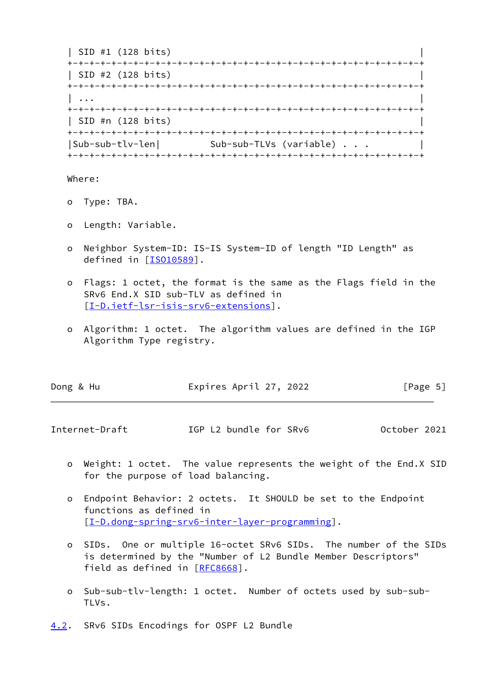| SID #1 (128 bits) | +-+-+-+-+-+-+-+-+-+-+-+-+-+-+-+-+-+-+-+-+-+-+-+-+-+-+-+-+-+-+-+-+ | SID #2 (128 bits) | +-+-+-+-+-+-+-+-+-+-+-+-+-+-+-+-+-+-+-+-+-+-+-+-+-+-+-+-+-+-+-+-+ | ... | ... | ... | ... | ... | ... | ... | ... | ... | ... | ... | ... | ... | ... | ... | ... | ... | ... | +-+-+-+-+-+-+-+-+-+-+-+-+-+-+-+-+-+-+-+-+-+-+-+-+-+-+-+-+-+-+-+-+ | SID #n (128 bits) | +-+-+-+-+-+-+-+-+-+-+-+-+-+-+-+-+-+-+-+-+-+-+-+-+-+-+-+-+-+-+-+-+ |Sub-sub-tlv-len| Sub-sub-TLVs (variable) . . . | +-+-+-+-+-+-+-+-+-+-+-+-+-+-+-+-+-+-+-+-+-+-+-+-+-+-+-+-+-+-+-+-+

Where:

- o Type: TBA.
- o Length: Variable.
- o Neighbor System-ID: IS-IS System-ID of length "ID Length" as defined in [[ISO10589\]](#page-7-3).
- o Flags: 1 octet, the format is the same as the Flags field in the SRv6 End.X SID sub-TLV as defined in [[I-D.ietf-lsr-isis-srv6-extensions\]](#page-3-1).
- o Algorithm: 1 octet. The algorithm values are defined in the IGP Algorithm Type registry.

| [Page 5] |
|----------|
|          |

<span id="page-5-1"></span>Internet-Draft IGP L2 bundle for SRv6 October 2021

- o Weight: 1 octet. The value represents the weight of the End.X SID for the purpose of load balancing.
- o Endpoint Behavior: 2 octets. It SHOULD be set to the Endpoint functions as defined in [[I-D.dong-spring-srv6-inter-layer-programming\]](#page-2-5).
- o SIDs. One or multiple 16-octet SRv6 SIDs. The number of the SIDs is determined by the "Number of L2 Bundle Member Descriptors" field as defined in [\[RFC8668](https://datatracker.ietf.org/doc/pdf/rfc8668)].
- o Sub-sub-tlv-length: 1 octet. Number of octets used by sub-sub- TLVs.
- <span id="page-5-0"></span>[4.2](#page-5-0). SRv6 SIDs Encodings for OSPF L2 Bundle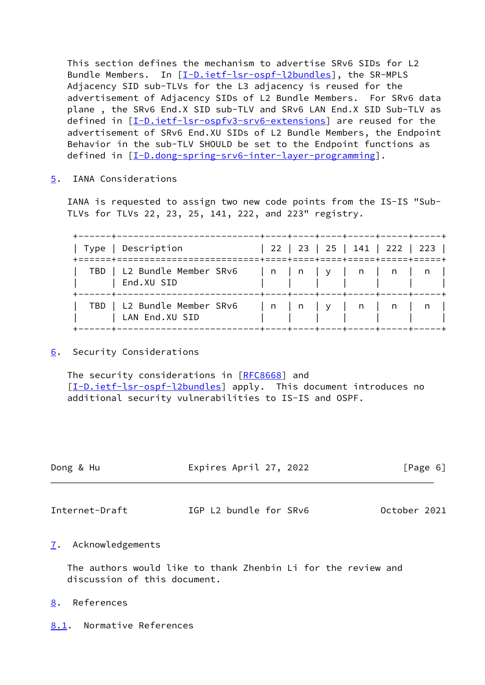This section defines the mechanism to advertise SRv6 SIDs for L2 Bundle Members. In [\[I-D.ietf-lsr-ospf-l2bundles](#page-7-2)], the SR-MPLS Adjacency SID sub-TLVs for the L3 adjacency is reused for the advertisement of Adjacency SIDs of L2 Bundle Members. For SRv6 data plane , the SRv6 End.X SID sub-TLV and SRv6 LAN End.X SID Sub-TLV as defined in [[I-D.ietf-lsr-ospfv3-srv6-extensions\]](#page-7-4) are reused for the advertisement of SRv6 End.XU SIDs of L2 Bundle Members, the Endpoint Behavior in the sub-TLV SHOULD be set to the Endpoint functions as defined in [[I-D.dong-spring-srv6-inter-layer-programming\]](#page-2-5).

<span id="page-6-0"></span>[5](#page-6-0). IANA Considerations

 IANA is requested to assign two new code points from the IS-IS "Sub- TLVs for TLVs 22, 23, 25, 141, 222, and 223" registry.

| Type   Description                                                                                                                             |  |  | 22   23   25   141   222   223 |  |
|------------------------------------------------------------------------------------------------------------------------------------------------|--|--|--------------------------------|--|
| TBD   L2 Bundle Member SRv6   n   n   y   n   n   n  <br>  End.XU SID                                                                          |  |  |                                |  |
| TBD   L2 Bundle Member SRv6   n   n   y   n   n   n  <br>  LAN End.XU SID<br>------+----+----+----+-----+-----+----+<br>----+----------------- |  |  |                                |  |

<span id="page-6-1"></span>[6](#page-6-1). Security Considerations

The security considerations in [\[RFC8668](https://datatracker.ietf.org/doc/pdf/rfc8668)] and [\[I-D.ietf-lsr-ospf-l2bundles](#page-7-2)] apply. This document introduces no additional security vulnerabilities to IS-IS and OSPF.

<span id="page-6-3"></span>

| Dong & Hu      | Expires April 27, 2022 | [Page 6]     |  |  |
|----------------|------------------------|--------------|--|--|
| Internet-Draft | IGP L2 bundle for SRv6 | October 2021 |  |  |
|                |                        |              |  |  |

<span id="page-6-2"></span>[7](#page-6-2). Acknowledgements

 The authors would like to thank Zhenbin Li for the review and discussion of this document.

- <span id="page-6-4"></span>[8](#page-6-4). References
- <span id="page-6-5"></span>[8.1](#page-6-5). Normative References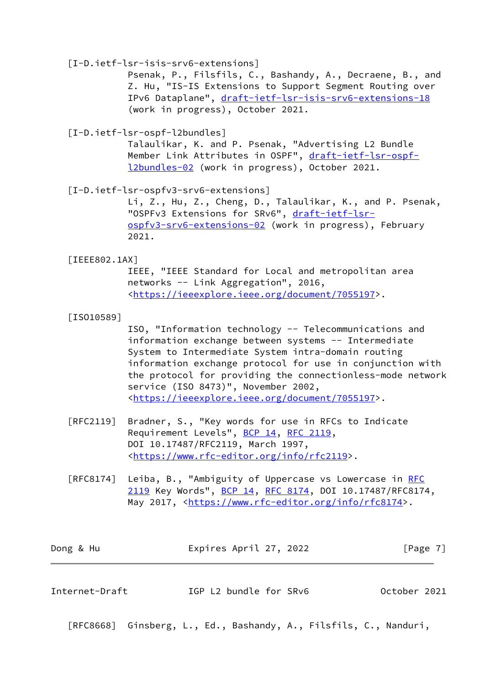## [I-D.ietf-lsr-isis-srv6-extensions]

 Psenak, P., Filsfils, C., Bashandy, A., Decraene, B., and Z. Hu, "IS-IS Extensions to Support Segment Routing over IPv6 Dataplane", [draft-ietf-lsr-isis-srv6-extensions-18](https://datatracker.ietf.org/doc/pdf/draft-ietf-lsr-isis-srv6-extensions-18) (work in progress), October 2021.

<span id="page-7-2"></span>[I-D.ietf-lsr-ospf-l2bundles]

 Talaulikar, K. and P. Psenak, "Advertising L2 Bundle Member Link Attributes in OSPF", [draft-ietf-lsr-ospf](https://datatracker.ietf.org/doc/pdf/draft-ietf-lsr-ospf-l2bundles-02) [l2bundles-02](https://datatracker.ietf.org/doc/pdf/draft-ietf-lsr-ospf-l2bundles-02) (work in progress), October 2021.

<span id="page-7-4"></span>[I-D.ietf-lsr-ospfv3-srv6-extensions]

 Li, Z., Hu, Z., Cheng, D., Talaulikar, K., and P. Psenak, "OSPFv3 Extensions for SRv6", [draft-ietf-lsr](https://datatracker.ietf.org/doc/pdf/draft-ietf-lsr-ospfv3-srv6-extensions-02) [ospfv3-srv6-extensions-02](https://datatracker.ietf.org/doc/pdf/draft-ietf-lsr-ospfv3-srv6-extensions-02) (work in progress), February 2021.

### <span id="page-7-1"></span>[IEEE802.1AX]

 IEEE, "IEEE Standard for Local and metropolitan area networks -- Link Aggregation", 2016, <[https://ieeexplore.ieee.org/document/7055197>](https://ieeexplore.ieee.org/document/7055197).

### <span id="page-7-3"></span>[ISO10589]

 ISO, "Information technology -- Telecommunications and information exchange between systems -- Intermediate System to Intermediate System intra-domain routing information exchange protocol for use in conjunction with the protocol for providing the connectionless-mode network service (ISO 8473)", November 2002, <[https://ieeexplore.ieee.org/document/7055197>](https://ieeexplore.ieee.org/document/7055197).

- [RFC2119] Bradner, S., "Key words for use in RFCs to Indicate Requirement Levels", [BCP 14](https://datatracker.ietf.org/doc/pdf/bcp14), [RFC 2119](https://datatracker.ietf.org/doc/pdf/rfc2119), DOI 10.17487/RFC2119, March 1997, <[https://www.rfc-editor.org/info/rfc2119>](https://www.rfc-editor.org/info/rfc2119).
- [RFC8174] Leiba, B., "Ambiguity of Uppercase vs Lowercase in [RFC](https://datatracker.ietf.org/doc/pdf/rfc2119) [2119](https://datatracker.ietf.org/doc/pdf/rfc2119) Key Words", [BCP 14](https://datatracker.ietf.org/doc/pdf/bcp14), [RFC 8174,](https://datatracker.ietf.org/doc/pdf/rfc8174) DOI 10.17487/RFC8174, May 2017, [<https://www.rfc-editor.org/info/rfc8174](https://www.rfc-editor.org/info/rfc8174)>.

| Dong & Hu | Expires April 27, 2022 | [Page 7] |
|-----------|------------------------|----------|
|           |                        |          |

<span id="page-7-0"></span>

[RFC8668] Ginsberg, L., Ed., Bashandy, A., Filsfils, C., Nanduri,